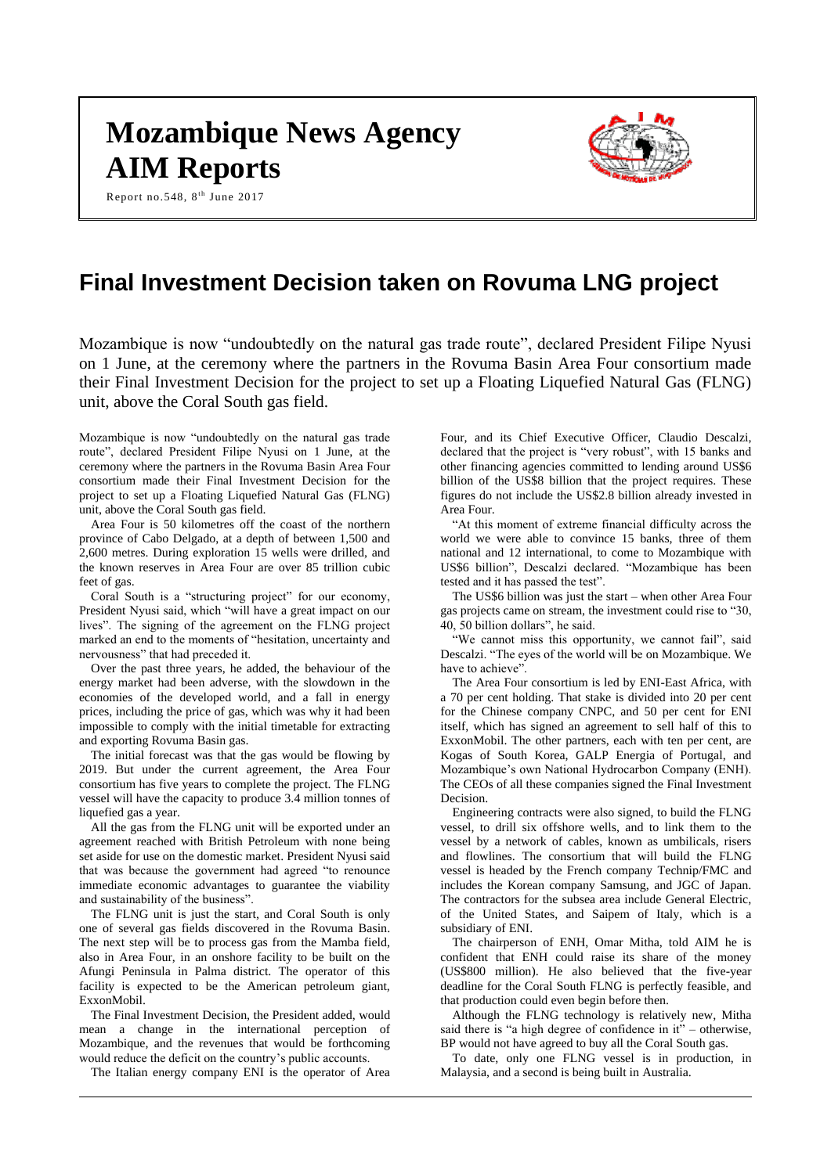# **Mozambique News Agency AIM Reports**

Report no.548,  $8^{\text{th}}$  June 2017

# **Final Investment Decision taken on Rovuma LNG project**

Mozambique is now "undoubtedly on the natural gas trade route", declared President Filipe Nyusi on 1 June, at the ceremony where the partners in the Rovuma Basin Area Four consortium made their Final Investment Decision for the project to set up a Floating Liquefied Natural Gas (FLNG) unit, above the Coral South gas field.

Mozambique is now "undoubtedly on the natural gas trade route", declared President Filipe Nyusi on 1 June, at the ceremony where the partners in the Rovuma Basin Area Four consortium made their Final Investment Decision for the project to set up a Floating Liquefied Natural Gas (FLNG) unit, above the Coral South gas field.

Area Four is 50 kilometres off the coast of the northern province of Cabo Delgado, at a depth of between 1,500 and 2,600 metres. During exploration 15 wells were drilled, and the known reserves in Area Four are over 85 trillion cubic feet of gas.

Coral South is a "structuring project" for our economy, President Nyusi said, which "will have a great impact on our lives". The signing of the agreement on the FLNG project marked an end to the moments of "hesitation, uncertainty and nervousness" that had preceded it.

Over the past three years, he added, the behaviour of the energy market had been adverse, with the slowdown in the economies of the developed world, and a fall in energy prices, including the price of gas, which was why it had been impossible to comply with the initial timetable for extracting and exporting Rovuma Basin gas.

The initial forecast was that the gas would be flowing by 2019. But under the current agreement, the Area Four consortium has five years to complete the project. The FLNG vessel will have the capacity to produce 3.4 million tonnes of liquefied gas a year.

All the gas from the FLNG unit will be exported under an agreement reached with British Petroleum with none being set aside for use on the domestic market. President Nyusi said that was because the government had agreed "to renounce immediate economic advantages to guarantee the viability and sustainability of the business".

The FLNG unit is just the start, and Coral South is only one of several gas fields discovered in the Rovuma Basin. The next step will be to process gas from the Mamba field, also in Area Four, in an onshore facility to be built on the Afungi Peninsula in Palma district. The operator of this facility is expected to be the American petroleum giant, ExxonMobil.

The Final Investment Decision, the President added, would mean a change in the international perception of Mozambique, and the revenues that would be forthcoming would reduce the deficit on the country's public accounts.

The Italian energy company ENI is the operator of Area

Four, and its Chief Executive Officer, Claudio Descalzi, declared that the project is "very robust", with 15 banks and other financing agencies committed to lending around US\$6 billion of the US\$8 billion that the project requires. These figures do not include the US\$2.8 billion already invested in Area Four.

"At this moment of extreme financial difficulty across the world we were able to convince 15 banks, three of them national and 12 international, to come to Mozambique with US\$6 billion", Descalzi declared. "Mozambique has been tested and it has passed the test".

The US\$6 billion was just the start – when other Area Four gas projects came on stream, the investment could rise to "30, 40, 50 billion dollars", he said.

"We cannot miss this opportunity, we cannot fail", said Descalzi. "The eyes of the world will be on Mozambique. We have to achieve".

The Area Four consortium is led by ENI-East Africa, with a 70 per cent holding. That stake is divided into 20 per cent for the Chinese company CNPC, and 50 per cent for ENI itself, which has signed an agreement to sell half of this to ExxonMobil. The other partners, each with ten per cent, are Kogas of South Korea, GALP Energia of Portugal, and Mozambique's own National Hydrocarbon Company (ENH). The CEOs of all these companies signed the Final Investment Decision.

Engineering contracts were also signed, to build the FLNG vessel, to drill six offshore wells, and to link them to the vessel by a network of cables, known as umbilicals, risers and flowlines. The consortium that will build the FLNG vessel is headed by the French company Technip/FMC and includes the Korean company Samsung, and JGC of Japan. The contractors for the subsea area include General Electric, of the United States, and Saipem of Italy, which is a subsidiary of ENI.

The chairperson of ENH, Omar Mitha, told AIM he is confident that ENH could raise its share of the money (US\$800 million). He also believed that the five-year deadline for the Coral South FLNG is perfectly feasible, and that production could even begin before then.

Although the FLNG technology is relatively new, Mitha said there is "a high degree of confidence in it" – otherwise, BP would not have agreed to buy all the Coral South gas.

To date, only one FLNG vessel is in production, in Malaysia, and a second is being built in Australia.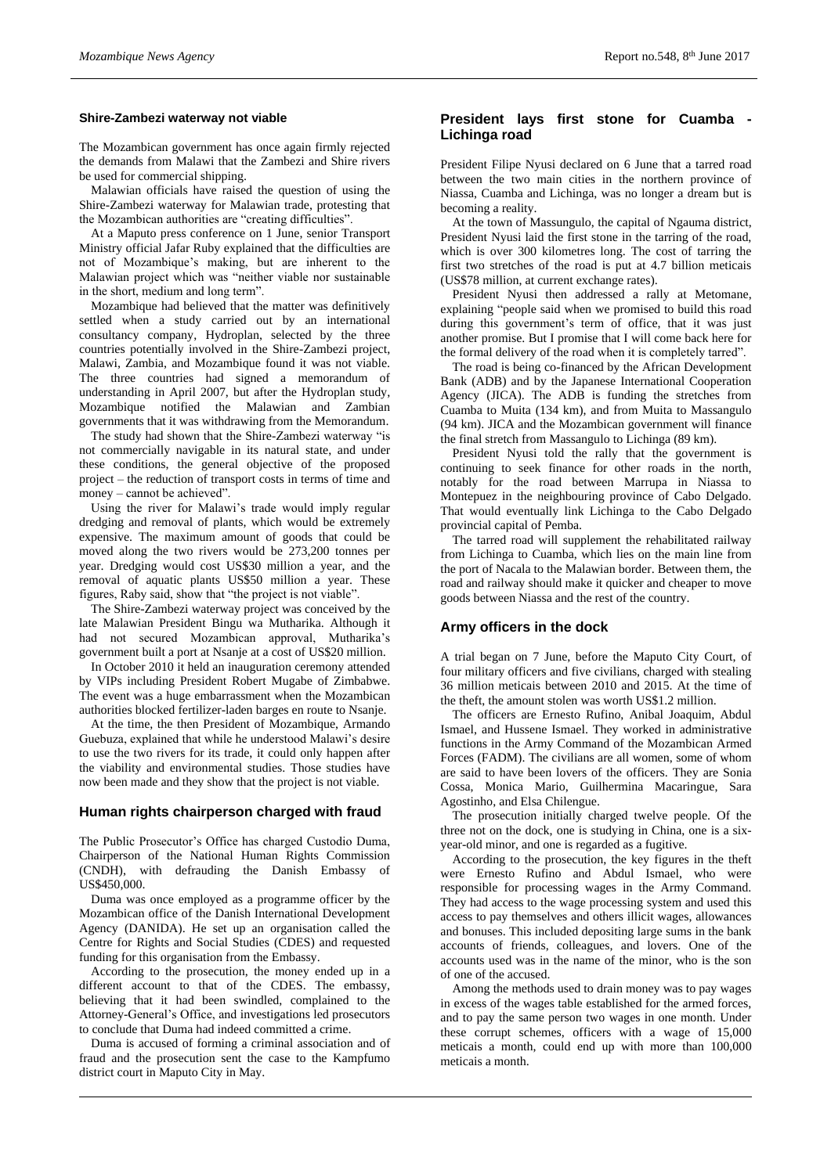#### **Shire-Zambezi waterway not viable**

The Mozambican government has once again firmly rejected the demands from Malawi that the Zambezi and Shire rivers be used for commercial shipping.

Malawian officials have raised the question of using the Shire-Zambezi waterway for Malawian trade, protesting that the Mozambican authorities are "creating difficulties".

At a Maputo press conference on 1 June, senior Transport Ministry official Jafar Ruby explained that the difficulties are not of Mozambique's making, but are inherent to the Malawian project which was "neither viable nor sustainable in the short, medium and long term".

Mozambique had believed that the matter was definitively settled when a study carried out by an international consultancy company, Hydroplan, selected by the three countries potentially involved in the Shire-Zambezi project, Malawi, Zambia, and Mozambique found it was not viable. The three countries had signed a memorandum of understanding in April 2007, but after the Hydroplan study, Mozambique notified the Malawian and Zambian governments that it was withdrawing from the Memorandum.

The study had shown that the Shire-Zambezi waterway "is not commercially navigable in its natural state, and under these conditions, the general objective of the proposed project – the reduction of transport costs in terms of time and money – cannot be achieved".

Using the river for Malawi's trade would imply regular dredging and removal of plants, which would be extremely expensive. The maximum amount of goods that could be moved along the two rivers would be 273,200 tonnes per year. Dredging would cost US\$30 million a year, and the removal of aquatic plants US\$50 million a year. These figures, Raby said, show that "the project is not viable".

The Shire-Zambezi waterway project was conceived by the late Malawian President Bingu wa Mutharika. Although it had not secured Mozambican approval, Mutharika's government built a port at Nsanje at a cost of US\$20 million.

In October 2010 it held an inauguration ceremony attended by VIPs including President Robert Mugabe of Zimbabwe. The event was a huge embarrassment when the Mozambican authorities blocked fertilizer-laden barges en route to Nsanje.

At the time, the then President of Mozambique, Armando Guebuza, explained that while he understood Malawi's desire to use the two rivers for its trade, it could only happen after the viability and environmental studies. Those studies have now been made and they show that the project is not viable.

#### **Human rights chairperson charged with fraud**

The Public Prosecutor's Office has charged Custodio Duma, Chairperson of the National Human Rights Commission (CNDH), with defrauding the Danish Embassy of US\$450,000.

Duma was once employed as a programme officer by the Mozambican office of the Danish International Development Agency (DANIDA). He set up an organisation called the Centre for Rights and Social Studies (CDES) and requested funding for this organisation from the Embassy.

According to the prosecution, the money ended up in a different account to that of the CDES. The embassy, believing that it had been swindled, complained to the Attorney-General's Office, and investigations led prosecutors to conclude that Duma had indeed committed a crime.

Duma is accused of forming a criminal association and of fraud and the prosecution sent the case to the Kampfumo district court in Maputo City in May.

#### **President lays first stone for Cuamba - Lichinga road**

President Filipe Nyusi declared on 6 June that a tarred road between the two main cities in the northern province of Niassa, Cuamba and Lichinga, was no longer a dream but is becoming a reality.

At the town of Massungulo, the capital of Ngauma district, President Nyusi laid the first stone in the tarring of the road, which is over 300 kilometres long. The cost of tarring the first two stretches of the road is put at 4.7 billion meticais (US\$78 million, at current exchange rates).

President Nyusi then addressed a rally at Metomane, explaining "people said when we promised to build this road during this government's term of office, that it was just another promise. But I promise that I will come back here for the formal delivery of the road when it is completely tarred".

The road is being co-financed by the African Development Bank (ADB) and by the Japanese International Cooperation Agency (JICA). The ADB is funding the stretches from Cuamba to Muita (134 km), and from Muita to Massangulo (94 km). JICA and the Mozambican government will finance the final stretch from Massangulo to Lichinga (89 km).

President Nyusi told the rally that the government is continuing to seek finance for other roads in the north, notably for the road between Marrupa in Niassa to Montepuez in the neighbouring province of Cabo Delgado. That would eventually link Lichinga to the Cabo Delgado provincial capital of Pemba.

The tarred road will supplement the rehabilitated railway from Lichinga to Cuamba, which lies on the main line from the port of Nacala to the Malawian border. Between them, the road and railway should make it quicker and cheaper to move goods between Niassa and the rest of the country.

#### **Army officers in the dock**

A trial began on 7 June, before the Maputo City Court, of four military officers and five civilians, charged with stealing 36 million meticais between 2010 and 2015. At the time of the theft, the amount stolen was worth US\$1.2 million.

The officers are Ernesto Rufino, Anibal Joaquim, Abdul Ismael, and Hussene Ismael. They worked in administrative functions in the Army Command of the Mozambican Armed Forces (FADM). The civilians are all women, some of whom are said to have been lovers of the officers. They are Sonia Cossa, Monica Mario, Guilhermina Macaringue, Sara Agostinho, and Elsa Chilengue.

The prosecution initially charged twelve people. Of the three not on the dock, one is studying in China, one is a sixyear-old minor, and one is regarded as a fugitive.

According to the prosecution, the key figures in the theft were Ernesto Rufino and Abdul Ismael, who were responsible for processing wages in the Army Command. They had access to the wage processing system and used this access to pay themselves and others illicit wages, allowances and bonuses. This included depositing large sums in the bank accounts of friends, colleagues, and lovers. One of the accounts used was in the name of the minor, who is the son of one of the accused.

Among the methods used to drain money was to pay wages in excess of the wages table established for the armed forces, and to pay the same person two wages in one month. Under these corrupt schemes, officers with a wage of 15,000 meticais a month, could end up with more than 100,000 meticais a month.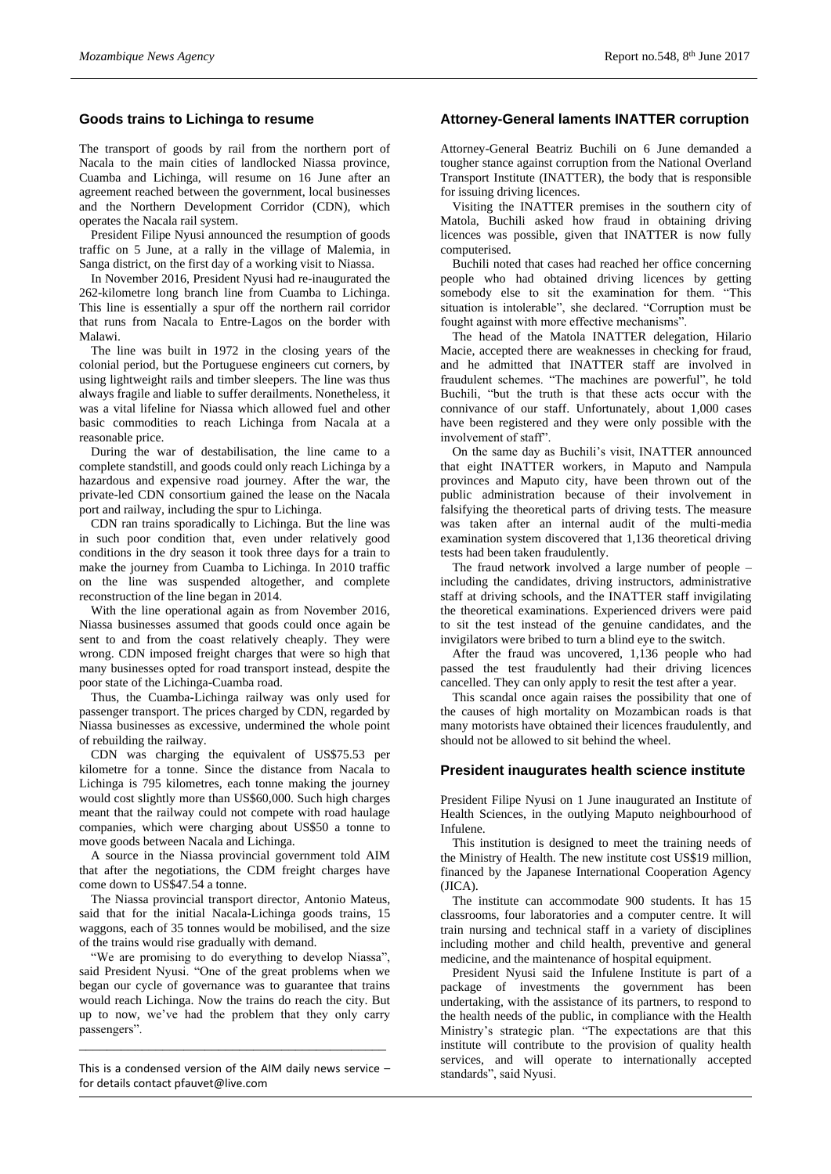## **Goods trains to Lichinga to resume**

The transport of goods by rail from the northern port of Nacala to the main cities of landlocked Niassa province, Cuamba and Lichinga, will resume on 16 June after an agreement reached between the government, local businesses and the Northern Development Corridor (CDN), which operates the Nacala rail system.

President Filipe Nyusi announced the resumption of goods traffic on 5 June, at a rally in the village of Malemia, in Sanga district, on the first day of a working visit to Niassa.

In November 2016, President Nyusi had re-inaugurated the 262-kilometre long branch line from Cuamba to Lichinga. This line is essentially a spur off the northern rail corridor that runs from Nacala to Entre-Lagos on the border with Malawi.

The line was built in 1972 in the closing years of the colonial period, but the Portuguese engineers cut corners, by using lightweight rails and timber sleepers. The line was thus always fragile and liable to suffer derailments. Nonetheless, it was a vital lifeline for Niassa which allowed fuel and other basic commodities to reach Lichinga from Nacala at a reasonable price.

During the war of destabilisation, the line came to a complete standstill, and goods could only reach Lichinga by a hazardous and expensive road journey. After the war, the private-led CDN consortium gained the lease on the Nacala port and railway, including the spur to Lichinga.

CDN ran trains sporadically to Lichinga. But the line was in such poor condition that, even under relatively good conditions in the dry season it took three days for a train to make the journey from Cuamba to Lichinga. In 2010 traffic on the line was suspended altogether, and complete reconstruction of the line began in 2014.

With the line operational again as from November 2016, Niassa businesses assumed that goods could once again be sent to and from the coast relatively cheaply. They were wrong. CDN imposed freight charges that were so high that many businesses opted for road transport instead, despite the poor state of the Lichinga-Cuamba road.

Thus, the Cuamba-Lichinga railway was only used for passenger transport. The prices charged by CDN, regarded by Niassa businesses as excessive, undermined the whole point of rebuilding the railway.

CDN was charging the equivalent of US\$75.53 per kilometre for a tonne. Since the distance from Nacala to Lichinga is 795 kilometres, each tonne making the journey would cost slightly more than US\$60,000. Such high charges meant that the railway could not compete with road haulage companies, which were charging about US\$50 a tonne to move goods between Nacala and Lichinga.

A source in the Niassa provincial government told AIM that after the negotiations, the CDM freight charges have come down to US\$47.54 a tonne.

The Niassa provincial transport director, Antonio Mateus, said that for the initial Nacala-Lichinga goods trains, 15 waggons, each of 35 tonnes would be mobilised, and the size of the trains would rise gradually with demand.

"We are promising to do everything to develop Niassa", said President Nyusi. "One of the great problems when we began our cycle of governance was to guarantee that trains would reach Lichinga. Now the trains do reach the city. But up to now, we've had the problem that they only carry passengers".

This is a condensed version of the AIM daily news service – for details contact [pfauvet@live.com](mailto:pfauvet@live.com)

\_\_\_\_\_\_\_\_\_\_\_\_\_\_\_\_\_\_\_\_\_\_\_\_\_\_\_\_\_\_\_\_\_\_\_\_\_\_\_\_\_\_\_\_

# **Attorney-General laments INATTER corruption**

Attorney-General Beatriz Buchili on 6 June demanded a tougher stance against corruption from the National Overland Transport Institute (INATTER), the body that is responsible for issuing driving licences.

Visiting the INATTER premises in the southern city of Matola, Buchili asked how fraud in obtaining driving licences was possible, given that INATTER is now fully computerised.

Buchili noted that cases had reached her office concerning people who had obtained driving licences by getting somebody else to sit the examination for them. "This situation is intolerable", she declared. "Corruption must be fought against with more effective mechanisms".

The head of the Matola INATTER delegation, Hilario Macie, accepted there are weaknesses in checking for fraud, and he admitted that INATTER staff are involved in fraudulent schemes. "The machines are powerful", he told Buchili, "but the truth is that these acts occur with the connivance of our staff. Unfortunately, about 1,000 cases have been registered and they were only possible with the involvement of staff".

On the same day as Buchili's visit, INATTER announced that eight INATTER workers, in Maputo and Nampula provinces and Maputo city, have been thrown out of the public administration because of their involvement in falsifying the theoretical parts of driving tests. The measure was taken after an internal audit of the multi-media examination system discovered that 1,136 theoretical driving tests had been taken fraudulently.

The fraud network involved a large number of people – including the candidates, driving instructors, administrative staff at driving schools, and the INATTER staff invigilating the theoretical examinations. Experienced drivers were paid to sit the test instead of the genuine candidates, and the invigilators were bribed to turn a blind eye to the switch.

After the fraud was uncovered, 1,136 people who had passed the test fraudulently had their driving licences cancelled. They can only apply to resit the test after a year.

This scandal once again raises the possibility that one of the causes of high mortality on Mozambican roads is that many motorists have obtained their licences fraudulently, and should not be allowed to sit behind the wheel.

#### **President inaugurates health science institute**

President Filipe Nyusi on 1 June inaugurated an Institute of Health Sciences, in the outlying Maputo neighbourhood of Infulene.

This institution is designed to meet the training needs of the Ministry of Health. The new institute cost US\$19 million, financed by the Japanese International Cooperation Agency (JICA).

The institute can accommodate 900 students. It has 15 classrooms, four laboratories and a computer centre. It will train nursing and technical staff in a variety of disciplines including mother and child health, preventive and general medicine, and the maintenance of hospital equipment.

President Nyusi said the Infulene Institute is part of a package of investments the government has been undertaking, with the assistance of its partners, to respond to the health needs of the public, in compliance with the Health Ministry's strategic plan. "The expectations are that this institute will contribute to the provision of quality health services, and will operate to internationally accepted standards", said Nyusi.